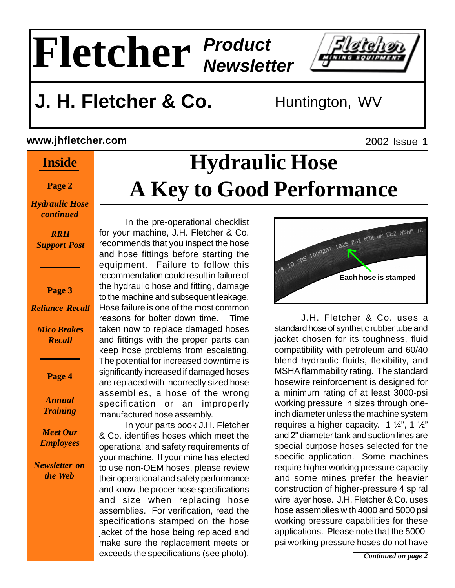

## **J. H. Fletcher & Co.** Huntington, WV

#### **www.jhfletcher.com**

### **Inside**

**Page 2**

*Hydraulic Hose continued*

> *RRII Support Post*

> > **Page 3**

*Reliance Recall*

*Mico Brakes Recall*

**Page 4**

*Annual Training*

*Meet Our Employees*

*Newsletter on the Web*

# **Hydraulic Hose A Key to Good Performance**

In the pre-operational checklist for your machine, J.H. Fletcher & Co. recommends that you inspect the hose and hose fittings before starting the equipment. Failure to follow this recommendation could result in failure of the hydraulic hose and fitting, damage to the machine and subsequent leakage. Hose failure is one of the most common reasons for bolter down time. Time taken now to replace damaged hoses and fittings with the proper parts can keep hose problems from escalating. The potential for increased downtime is significantly increased if damaged hoses are replaced with incorrectly sized hose assemblies, a hose of the wrong specification or an improperly manufactured hose assembly.

In your parts book J.H. Fletcher & Co. identifies hoses which meet the operational and safety requirements of your machine. If your mine has elected to use non-OEM hoses, please review their operational and safety performance and know the proper hose specifications and size when replacing hose assemblies. For verification, read the specifications stamped on the hose jacket of the hose being replaced and make sure the replacement meets or exceeds the specifications (see photo).



J.H. Fletcher & Co. uses a standard hose of synthetic rubber tube and jacket chosen for its toughness, fluid compatibility with petroleum and 60/40 blend hydraulic fluids, flexibility, and MSHA flammability rating. The standard hosewire reinforcement is designed for a minimum rating of at least 3000-psi working pressure in sizes through oneinch diameter unless the machine system requires a higher capacity. 1  $\frac{1}{4}$ , 1  $\frac{1}{2}$ " and 2" diameter tank and suction lines are special purpose hoses selected for the specific application. Some machines require higher working pressure capacity and some mines prefer the heavier construction of higher-pressure 4 spiral wire layer hose. J.H. Fletcher & Co. uses hose assemblies with 4000 and 5000 psi working pressure capabilities for these applications. Please note that the 5000 psi working pressure hoses do not have

2002 Issue 1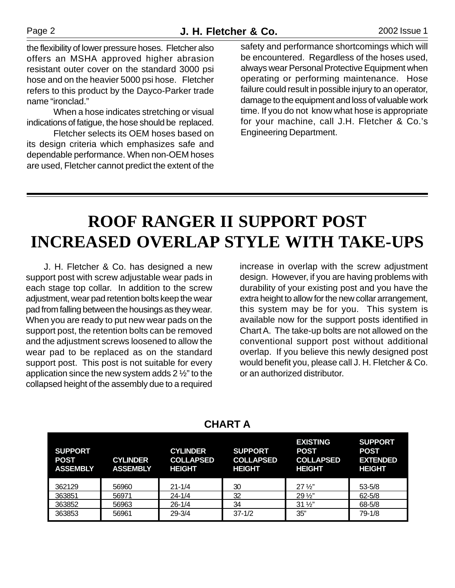the flexibility of lower pressure hoses. Fletcher also offers an MSHA approved higher abrasion resistant outer cover on the standard 3000 psi hose and on the heavier 5000 psi hose. Fletcher refers to this product by the Dayco-Parker trade name "ironclad."

When a hose indicates stretching or visual indications of fatigue, the hose should be replaced.

Fletcher selects its OEM hoses based on its design criteria which emphasizes safe and dependable performance. When non-OEM hoses are used, Fletcher cannot predict the extent of the safety and performance shortcomings which will be encountered. Regardless of the hoses used, always wear Personal Protective Equipment when operating or performing maintenance. Hose failure could result in possible injury to an operator, damage to the equipment and loss of valuable work time. If you do not know what hose is appropriate for your machine, call J.H. Fletcher & Co.'s Engineering Department.

## **ROOF RANGER II SUPPORT POST INCREASED OVERLAP STYLE WITH TAKE-UPS**

 J. H. Fletcher & Co. has designed a new support post with screw adjustable wear pads in each stage top collar. In addition to the screw adjustment, wear pad retention bolts keep the wear pad from falling between the housings as they wear. When you are ready to put new wear pads on the support post, the retention bolts can be removed and the adjustment screws loosened to allow the wear pad to be replaced as on the standard support post. This post is not suitable for every application since the new system adds 2 ½" to the collapsed height of the assembly due to a required

increase in overlap with the screw adjustment design. However, if you are having problems with durability of your existing post and you have the extra height to allow for the new collar arrangement, this system may be for you. This system is available now for the support posts identified in Chart A. The take-up bolts are not allowed on the conventional support post without additional overlap. If you believe this newly designed post would benefit you, please call J. H. Fletcher & Co. or an authorized distributor.

| <b>SUPPORT</b><br><b>POST</b><br><b>ASSEMBLY</b> | <b>CYLINDER</b><br><b>ASSEMBLY</b> | <b>CYLINDER</b><br><b>COLLAPSED</b><br><b>HEIGHT</b> | <b>SUPPORT</b><br><b>COLLAPSED</b><br><b>HEIGHT</b> | <b>EXISTING</b><br><b>POST</b><br><b>COLLAPSED</b><br><b>HEIGHT</b> | <b>SUPPORT</b><br><b>POST</b><br><b>EXTENDED</b><br><b>HEIGHT</b> |
|--------------------------------------------------|------------------------------------|------------------------------------------------------|-----------------------------------------------------|---------------------------------------------------------------------|-------------------------------------------------------------------|
| 362129                                           | 56960                              | $21 - 1/4$                                           | 30                                                  | $27\frac{1}{2}$                                                     | $53 - 5/8$                                                        |
| 363851                                           | 56971                              | $24 - 1/4$                                           | 32                                                  | $29\frac{1}{2}$                                                     | $62 - 5/8$                                                        |
| 363852                                           | 56963                              | $26 - 1/4$                                           | 34                                                  | $31\frac{1}{2}$                                                     | 68-5/8                                                            |
| 363853                                           | 56961                              | $29 - 3/4$                                           | $37 - 1/2$                                          | 35"                                                                 | $79-1/8$                                                          |

#### **CHART A**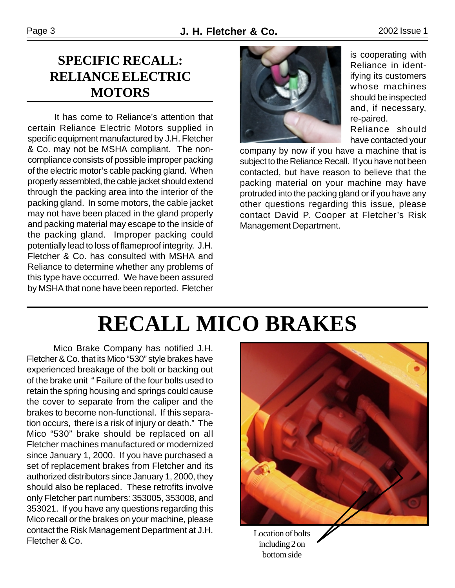### **SPECIFIC RECALL: RELIANCE ELECTRIC MOTORS**

It has come to Reliance's attention that certain Reliance Electric Motors supplied in specific equipment manufactured by J.H. Fletcher & Co. may not be MSHA compliant. The noncompliance consists of possible improper packing of the electric motor's cable packing gland. When properly assembled, the cable jacket should extend through the packing area into the interior of the packing gland. In some motors, the cable jacket may not have been placed in the gland properly and packing material may escape to the inside of the packing gland. Improper packing could potentially lead to loss of flameproof integrity. J.H. Fletcher & Co. has consulted with MSHA and Reliance to determine whether any problems of this type have occurred. We have been assured by MSHA that none have been reported. Fletcher



is cooperating with Reliance in identifying its customers whose machines should be inspected and, if necessary, re-paired.

Reliance should have contacted your

company by now if you have a machine that is subject to the Reliance Recall. If you have not been contacted, but have reason to believe that the packing material on your machine may have protruded into the packing gland or if you have any other questions regarding this issue, please contact David P. Cooper at Fletcher's Risk Management Department.

## **RECALL MICO BRAKES**

Mico Brake Company has notified J.H. Fletcher & Co. that its Mico "530" style brakes have experienced breakage of the bolt or backing out of the brake unit " Failure of the four bolts used to retain the spring housing and springs could cause the cover to separate from the caliper and the brakes to become non-functional. If this separation occurs, there is a risk of injury or death." The Mico "530" brake should be replaced on all Fletcher machines manufactured or modernized since January 1, 2000. If you have purchased a set of replacement brakes from Fletcher and its authorized distributors since January 1, 2000, they should also be replaced. These retrofits involve only Fletcher part numbers: 353005, 353008, and 353021. If you have any questions regarding this Mico recall or the brakes on your machine, please contact the Risk Management Department at J.H. Fletcher & Co.



including 2 on bottom side